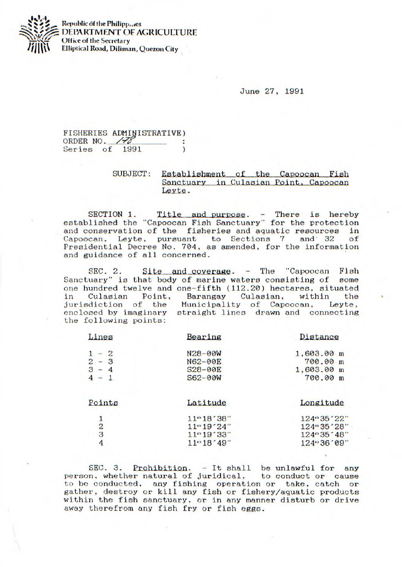

**Republic of the Philipp...es** DEPARTMENT OF AGRICULTURE **Office of the Secretary Elliptical Road, Diliinan, Quezon City** 

**June** 27, 1991

## FISHERIES ADMINISTRATIVE) ORDER NO. 178 Series of 1991  $\mathcal{L}$

## SUBJECT: Establishment of the Capoocan Fish Sanctuary in Culasian Point, Capoocan Leyte.

SECTION 1. Title and purpose. - There is hereby established the "Capoocan Fish Sanctuary" for the protection and conservation of the fisheries and aquatic resources in Capoocan, Leyte, pursuant to Sections 7 and 32 of Presidential Decree No. 704, as amended, for the information and guidance of all concerned.

*SEC.* 2. **Site and coverage.** - The "Capoocan Fish uary" is that body of marine waters consisting of some Sanctuary" is that body of marine waters consisting of one hundred twelve and one-fifth (112.20) hectares, situated<br>in Culasian Point, Barangay Culasian, within the in Culasian Point, Barangay Culasian, within the<br>jurisdiction of the Municipality of Capoocan, Leyte, jurisdiction of the enclosed by imaginary straight lines drawn and connecting the following points:

| Lines         | Bearing      | Distance       |
|---------------|--------------|----------------|
| $1 - 2$       | N28-00W      | 1,603.00 m     |
| $2 - 3$       | N62-00E      | 700.00 m       |
| $3 - 4$       | S28-00E      | 1,603.00 m     |
| $4 - 1$       | S62-00W      | 700.00 m       |
| Points        | Latitude     | Longitude      |
| 1             | 11°18'38"    | 124 - 35 ' 22" |
|               | $11 - 19'24$ | 124°35'28"     |
| $\frac{2}{3}$ | $11 - 19.33$ | 124 - 35 ' 48" |
| 4             | $11 - 18.49$ | 124 - 36 ' 09" |

 $SEC. 3. *Problem.* - It shall be unlawful for any$ person, whether natural of juridical, to conduct or cause to be conducted, any fishing operation or take, catch or gather, destroy or kill any fish or fishery/aquatic products within the fish sanctuary, or in any manner disturb or drive away therefrom any fish fry or fish eggs.